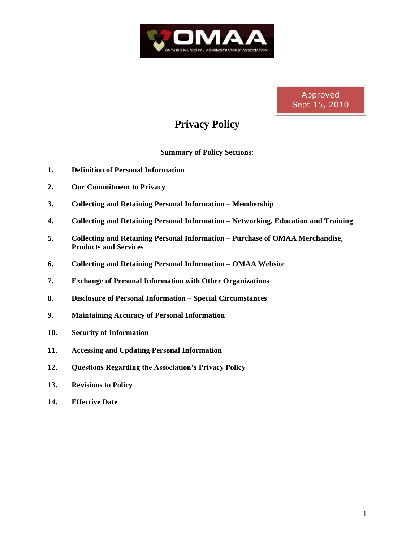

Approved Sept 15, 2010

# **Privacy Policy**

## **Summary of Policy Sections:**

- **1. Definition of Personal Information**
- **2. Our Commitment to Privacy**
- **3. Collecting and Retaining Personal Information – Membership**
- **4. Collecting and Retaining Personal Information – Networking, Education and Training**
- **5. Collecting and Retaining Personal Information – Purchase of OMAA Merchandise, Products and Services**
- **6. Collecting and Retaining Personal Information – OMAA Website**
- **7. Exchange of Personal Information with Other Organizations**
- **8. Disclosure of Personal Information – Special Circumstances**
- **9. Maintaining Accuracy of Personal Information**
- **10. Security of Information**
- **11. Accessing and Updating Personal Information**
- **12. Questions Regarding the Association's Privacy Policy**
- **13. Revisions to Policy**
- **14. Effective Date**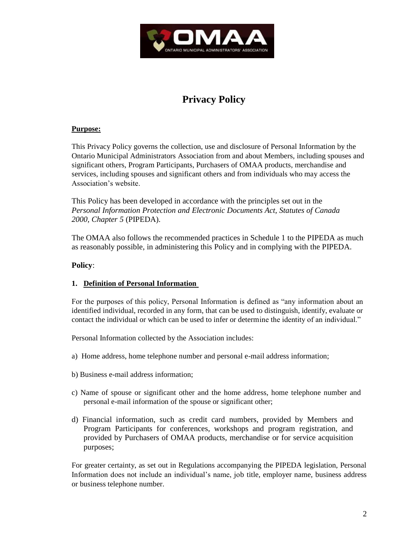

# **Privacy Policy**

## **Purpose:**

This Privacy Policy governs the collection, use and disclosure of Personal Information by the Ontario Municipal Administrators Association from and about Members, including spouses and significant others, Program Participants, Purchasers of OMAA products, merchandise and services, including spouses and significant others and from individuals who may access the Association's website.

This Policy has been developed in accordance with the principles set out in the *Personal Information Protection and Electronic Documents Act, Statutes of Canada 2000, Chapter 5* (PIPEDA).

The OMAA also follows the recommended practices in Schedule 1 to the PIPEDA as much as reasonably possible, in administering this Policy and in complying with the PIPEDA.

## **Policy**:

### **1. Definition of Personal Information**

For the purposes of this policy, Personal Information is defined as "any information about an identified individual, recorded in any form, that can be used to distinguish, identify, evaluate or contact the individual or which can be used to infer or determine the identity of an individual."

Personal Information collected by the Association includes:

- a) Home address, home telephone number and personal e-mail address information;
- b) Business e-mail address information;
- c) Name of spouse or significant other and the home address, home telephone number and personal e-mail information of the spouse or significant other;
- d) Financial information, such as credit card numbers, provided by Members and Program Participants for conferences, workshops and program registration, and provided by Purchasers of OMAA products, merchandise or for service acquisition purposes;

For greater certainty, as set out in Regulations accompanying the PIPEDA legislation, Personal Information does not include an individual's name, job title, employer name, business address or business telephone number.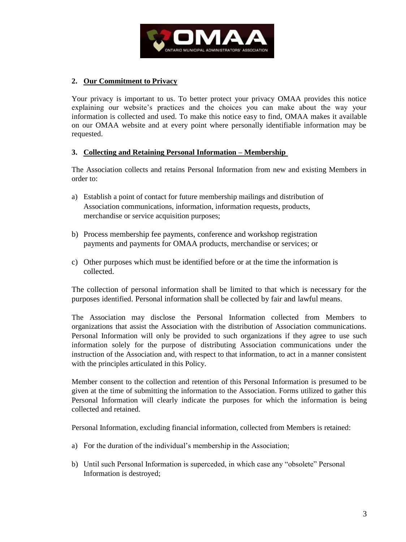

## **2. Our Commitment to Privacy**

Your privacy is important to us. To better protect your privacy OMAA provides this notice explaining our website's practices and the choices you can make about the way your information is collected and used. To make this notice easy to find, OMAA makes it available on our OMAA website and at every point where personally identifiable information may be requested.

#### **3. Collecting and Retaining Personal Information – Membership**

The Association collects and retains Personal Information from new and existing Members in order to:

- a) Establish a point of contact for future membership mailings and distribution of Association communications, information, information requests, products, merchandise or service acquisition purposes;
- b) Process membership fee payments, conference and workshop registration payments and payments for OMAA products, merchandise or services; or
- c) Other purposes which must be identified before or at the time the information is collected.

The collection of personal information shall be limited to that which is necessary for the purposes identified. Personal information shall be collected by fair and lawful means.

The Association may disclose the Personal Information collected from Members to organizations that assist the Association with the distribution of Association communications. Personal Information will only be provided to such organizations if they agree to use such information solely for the purpose of distributing Association communications under the instruction of the Association and, with respect to that information, to act in a manner consistent with the principles articulated in this Policy.

Member consent to the collection and retention of this Personal Information is presumed to be given at the time of submitting the information to the Association. Forms utilized to gather this Personal Information will clearly indicate the purposes for which the information is being collected and retained.

Personal Information, excluding financial information, collected from Members is retained:

- a) For the duration of the individual's membership in the Association;
- b) Until such Personal Information is superceded, in which case any "obsolete" Personal Information is destroyed;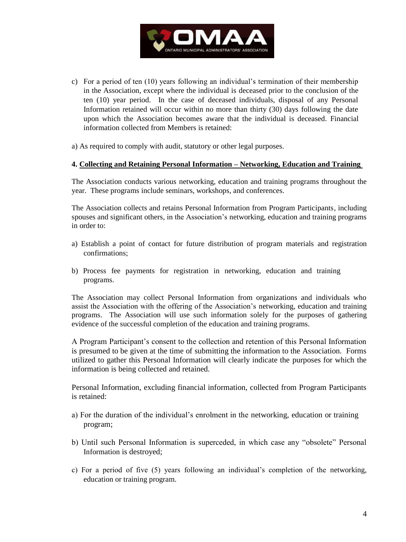

c) For a period of ten (10) years following an individual's termination of their membership in the Association, except where the individual is deceased prior to the conclusion of the ten (10) year period. In the case of deceased individuals, disposal of any Personal Information retained will occur within no more than thirty (30) days following the date upon which the Association becomes aware that the individual is deceased. Financial information collected from Members is retained:

a) As required to comply with audit, statutory or other legal purposes.

#### **4. Collecting and Retaining Personal Information – Networking, Education and Training**

The Association conducts various networking, education and training programs throughout the year. These programs include seminars, workshops, and conferences.

The Association collects and retains Personal Information from Program Participants, including spouses and significant others, in the Association's networking, education and training programs in order to:

- a) Establish a point of contact for future distribution of program materials and registration confirmations;
- b) Process fee payments for registration in networking, education and training programs.

The Association may collect Personal Information from organizations and individuals who assist the Association with the offering of the Association's networking, education and training programs. The Association will use such information solely for the purposes of gathering evidence of the successful completion of the education and training programs.

A Program Participant's consent to the collection and retention of this Personal Information is presumed to be given at the time of submitting the information to the Association. Forms utilized to gather this Personal Information will clearly indicate the purposes for which the information is being collected and retained.

Personal Information, excluding financial information, collected from Program Participants is retained:

- a) For the duration of the individual's enrolment in the networking, education or training program;
- b) Until such Personal Information is superceded, in which case any "obsolete" Personal Information is destroyed;
- c) For a period of five (5) years following an individual's completion of the networking, education or training program.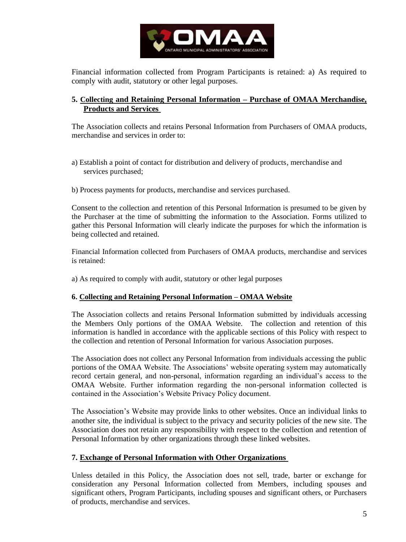

Financial information collected from Program Participants is retained: a) As required to comply with audit, statutory or other legal purposes.

## **5. Collecting and Retaining Personal Information – Purchase of OMAA Merchandise, Products and Services**

The Association collects and retains Personal Information from Purchasers of OMAA products, merchandise and services in order to:

- a) Establish a point of contact for distribution and delivery of products, merchandise and services purchased;
- b) Process payments for products, merchandise and services purchased.

Consent to the collection and retention of this Personal Information is presumed to be given by the Purchaser at the time of submitting the information to the Association. Forms utilized to gather this Personal Information will clearly indicate the purposes for which the information is being collected and retained.

Financial Information collected from Purchasers of OMAA products, merchandise and services is retained:

a) As required to comply with audit, statutory or other legal purposes

#### **6. Collecting and Retaining Personal Information – OMAA Website**

The Association collects and retains Personal Information submitted by individuals accessing the Members Only portions of the OMAA Website. The collection and retention of this information is handled in accordance with the applicable sections of this Policy with respect to the collection and retention of Personal Information for various Association purposes.

The Association does not collect any Personal Information from individuals accessing the public portions of the OMAA Website. The Associations' website operating system may automatically record certain general, and non-personal, information regarding an individual's access to the OMAA Website. Further information regarding the non-personal information collected is contained in the Association's Website Privacy Policy document.

The Association's Website may provide links to other websites. Once an individual links to another site, the individual is subject to the privacy and security policies of the new site. The Association does not retain any responsibility with respect to the collection and retention of Personal Information by other organizations through these linked websites.

#### **7. Exchange of Personal Information with Other Organizations**

Unless detailed in this Policy, the Association does not sell, trade, barter or exchange for consideration any Personal Information collected from Members, including spouses and significant others, Program Participants, including spouses and significant others, or Purchasers of products, merchandise and services.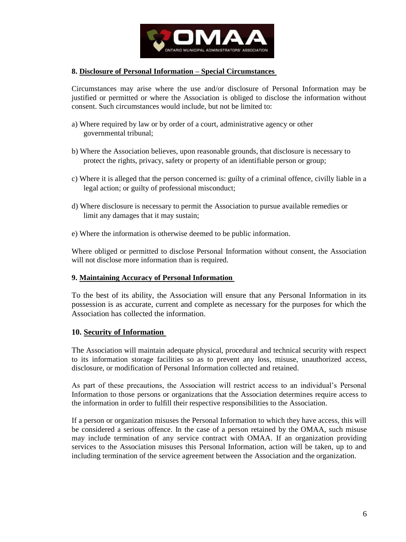

#### **8. Disclosure of Personal Information – Special Circumstances**

Circumstances may arise where the use and/or disclosure of Personal Information may be justified or permitted or where the Association is obliged to disclose the information without consent. Such circumstances would include, but not be limited to:

- a) Where required by law or by order of a court, administrative agency or other governmental tribunal;
- b) Where the Association believes, upon reasonable grounds, that disclosure is necessary to protect the rights, privacy, safety or property of an identifiable person or group;
- c) Where it is alleged that the person concerned is: guilty of a criminal offence, civilly liable in a legal action; or guilty of professional misconduct;
- d) Where disclosure is necessary to permit the Association to pursue available remedies or limit any damages that it may sustain;
- e) Where the information is otherwise deemed to be public information.

Where obliged or permitted to disclose Personal Information without consent, the Association will not disclose more information than is required.

#### **9. Maintaining Accuracy of Personal Information**

To the best of its ability, the Association will ensure that any Personal Information in its possession is as accurate, current and complete as necessary for the purposes for which the Association has collected the information.

#### **10. Security of Information**

The Association will maintain adequate physical, procedural and technical security with respect to its information storage facilities so as to prevent any loss, misuse, unauthorized access, disclosure, or modification of Personal Information collected and retained.

As part of these precautions, the Association will restrict access to an individual's Personal Information to those persons or organizations that the Association determines require access to the information in order to fulfill their respective responsibilities to the Association.

If a person or organization misuses the Personal Information to which they have access, this will be considered a serious offence. In the case of a person retained by the OMAA, such misuse may include termination of any service contract with OMAA. If an organization providing services to the Association misuses this Personal Information, action will be taken, up to and including termination of the service agreement between the Association and the organization.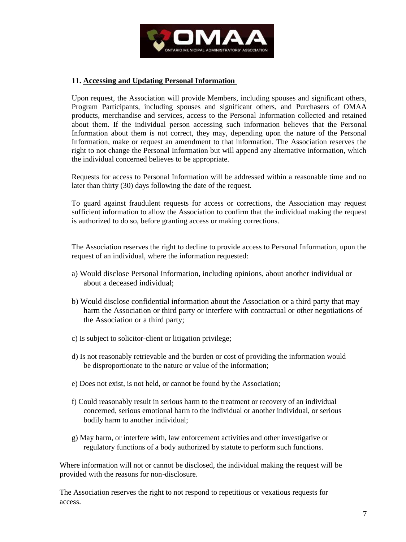

## **11. Accessing and Updating Personal Information**

Upon request, the Association will provide Members, including spouses and significant others, Program Participants, including spouses and significant others, and Purchasers of OMAA products, merchandise and services, access to the Personal Information collected and retained about them. If the individual person accessing such information believes that the Personal Information about them is not correct, they may, depending upon the nature of the Personal Information, make or request an amendment to that information. The Association reserves the right to not change the Personal Information but will append any alternative information, which the individual concerned believes to be appropriate.

Requests for access to Personal Information will be addressed within a reasonable time and no later than thirty (30) days following the date of the request.

To guard against fraudulent requests for access or corrections, the Association may request sufficient information to allow the Association to confirm that the individual making the request is authorized to do so, before granting access or making corrections.

The Association reserves the right to decline to provide access to Personal Information, upon the request of an individual, where the information requested:

- a) Would disclose Personal Information, including opinions, about another individual or about a deceased individual;
- b) Would disclose confidential information about the Association or a third party that may harm the Association or third party or interfere with contractual or other negotiations of the Association or a third party;
- c) Is subject to solicitor-client or litigation privilege;
- d) Is not reasonably retrievable and the burden or cost of providing the information would be disproportionate to the nature or value of the information;
- e) Does not exist, is not held, or cannot be found by the Association;
- f) Could reasonably result in serious harm to the treatment or recovery of an individual concerned, serious emotional harm to the individual or another individual, or serious bodily harm to another individual;
- g) May harm, or interfere with, law enforcement activities and other investigative or regulatory functions of a body authorized by statute to perform such functions.

Where information will not or cannot be disclosed, the individual making the request will be provided with the reasons for non-disclosure.

The Association reserves the right to not respond to repetitious or vexatious requests for access.